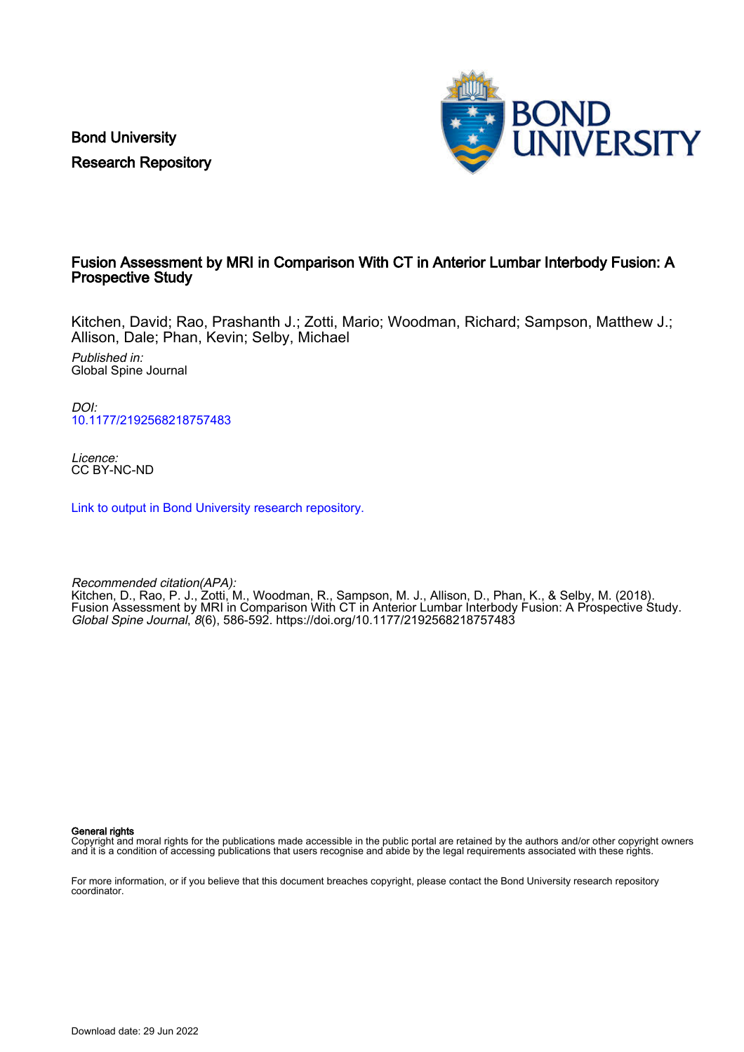Bond University Research Repository



# Fusion Assessment by MRI in Comparison With CT in Anterior Lumbar Interbody Fusion: A Prospective Study

Kitchen, David; Rao, Prashanth J.; Zotti, Mario; Woodman, Richard; Sampson, Matthew J.; Allison, Dale; Phan, Kevin; Selby, Michael

Published in: Global Spine Journal

DOI: [10.1177/2192568218757483](https://doi.org/10.1177/2192568218757483)

Licence: CC BY-NC-ND

[Link to output in Bond University research repository.](https://research.bond.edu.au/en/publications/6f51e775-6e91-4298-ba9d-4d90fdd44d7c)

Recommended citation(APA): Kitchen, D., Rao, P. J., Zotti, M., Woodman, R., Sampson, M. J., Allison, D., Phan, K., & Selby, M. (2018). Fusion Assessment by MRI in Comparison With CT in Anterior Lumbar Interbody Fusion: A Prospective Study. Global Spine Journal, 8(6), 586-592. <https://doi.org/10.1177/2192568218757483>

General rights

Copyright and moral rights for the publications made accessible in the public portal are retained by the authors and/or other copyright owners and it is a condition of accessing publications that users recognise and abide by the legal requirements associated with these rights.

For more information, or if you believe that this document breaches copyright, please contact the Bond University research repository coordinator.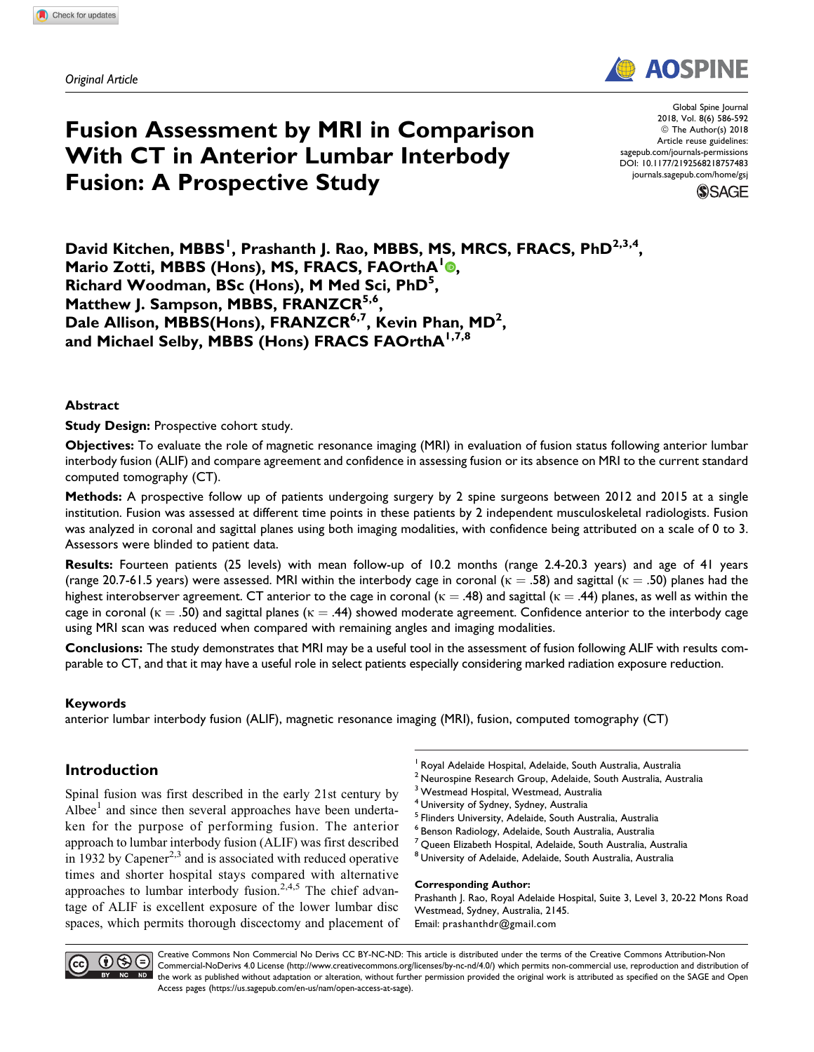Original Article



# Fusion Assessment by MRI in Comparison With CT in Anterior Lumbar Interbody Fusion: A Prospective Study

Global Spine Journal 2018, Vol. 8(6) 586-592 ª The Author(s) 2018 Article reuse guidelines: [sagepub.com/journals-permissions](https://sagepub.com/journals-permissions) [DOI: 10.1177/2192568218757483](https://doi.org/10.1177/2192568218757483) [journals.sagepub.com/home/gsj](http://journals.sagepub.com/home/gsj)



David Kitchen, MBBS<sup>1</sup>, Prashanth J. Rao, MBBS, MS, MRCS, FRACS, PhD<sup>2,3,4</sup>, Mario Zotti, MBBS (Hons), MS, FRACS, FAOrthA<sup>1</sup><sup>®</sup>, Richard Woodman, BSc (Hons), M Med Sci, PhD<sup>5</sup>, Matthew J. Sampson, MBBS, FRANZCR<sup>5,6</sup>, Dale Allison, MBBS(Hons), FRANZCR<sup>6,7</sup>, Kevin Phan, MD<sup>2</sup>, and Michael Selby, MBBS (Hons) FRACS FAOrthA<sup>1,7,8</sup>

#### Abstract

**Study Design: Prospective cohort study.** 

Objectives: To evaluate the role of magnetic resonance imaging (MRI) in evaluation of fusion status following anterior lumbar interbody fusion (ALIF) and compare agreement and confidence in assessing fusion or its absence on MRI to the current standard computed tomography (CT).

Methods: A prospective follow up of patients undergoing surgery by 2 spine surgeons between 2012 and 2015 at a single institution. Fusion was assessed at different time points in these patients by 2 independent musculoskeletal radiologists. Fusion was analyzed in coronal and sagittal planes using both imaging modalities, with confidence being attributed on a scale of 0 to 3. Assessors were blinded to patient data.

Results: Fourteen patients (25 levels) with mean follow-up of 10.2 months (range 2.4-20.3 years) and age of 41 years (range 20.7-61.5 years) were assessed. MRI within the interbody cage in coronal ( $\kappa = .58$ ) and sagittal ( $\kappa = .50$ ) planes had the highest interobserver agreement. CT anterior to the cage in coronal ( $\kappa = .48$ ) and sagittal ( $\kappa = .44$ ) planes, as well as within the cage in coronal ( $\kappa = .50$ ) and sagittal planes ( $\kappa = .44$ ) showed moderate agreement. Confidence anterior to the interbody cage using MRI scan was reduced when compared with remaining angles and imaging modalities.

Conclusions: The study demonstrates that MRI may be a useful tool in the assessment of fusion following ALIF with results comparable to CT, and that it may have a useful role in select patients especially considering marked radiation exposure reduction.

#### Keywords

anterior lumbar interbody fusion (ALIF), magnetic resonance imaging (MRI), fusion, computed tomography (CT)

# Introduction

Spinal fusion was first described in the early 21st century by Albee $<sup>1</sup>$  and since then several approaches have been underta-</sup> ken for the purpose of performing fusion. The anterior approach to lumbar interbody fusion (ALIF) was first described in 1932 by Capener<sup>2,3</sup> and is associated with reduced operative times and shorter hospital stays compared with alternative approaches to lumbar interbody fusion.<sup>2,4,5</sup> The chief advantage of ALIF is excellent exposure of the lower lumbar disc spaces, which permits thorough discectomy and placement of

- <sup>1</sup> Royal Adelaide Hospital, Adelaide, South Australia, Australia
- $2$  Neurospine Research Group, Adelaide, South Australia, Australia
- <sup>3</sup> Westmead Hospital, Westmead, Australia
- <sup>4</sup> University of Sydney, Sydney, Australia<br><sup>5</sup> Elinders University, Adelaide, Sauth Au
- <sup>5</sup> Flinders University, Adelaide, South Australia, Australia
- <sup>6</sup> Benson Radiology, Adelaide, South Australia, Australia
- <sup>7</sup> Queen Elizabeth Hospital, Adelaide, South Australia, Australia
- <sup>8</sup> University of Adelaide, Adelaide, South Australia, Australia

#### Corresponding Author:

Prashanth J. Rao, Royal Adelaide Hospital, Suite 3, Level 3, 20-22 Mons Road Westmead, Sydney, Australia, 2145. Email: [prashanthdr@gmail.com](mailto:prashanthdr@gmail.com)



Creative Commons Non Commercial No Derivs CC BY-NC-ND: This article is distributed under the terms of the Creative Commons Attribution-Non Commercial-NoDerivs 4.0 License ([http://www.creativecommons.org/licenses/by-nc-nd/4.0/\)](http://www.creativecommons.org/licenses/by-nc-nd/4.0/) which permits non-commercial use, reproduction and distribution of ND the work as published without adaptation or alteration, without further permission provided the original work is attributed as specified on the SAGE and Open Access pages [\(https://us.sagepub.com/en-us/nam/open-access-at-sage](https://us.sagepub.com/en-us/nam/open-access-at-sage)).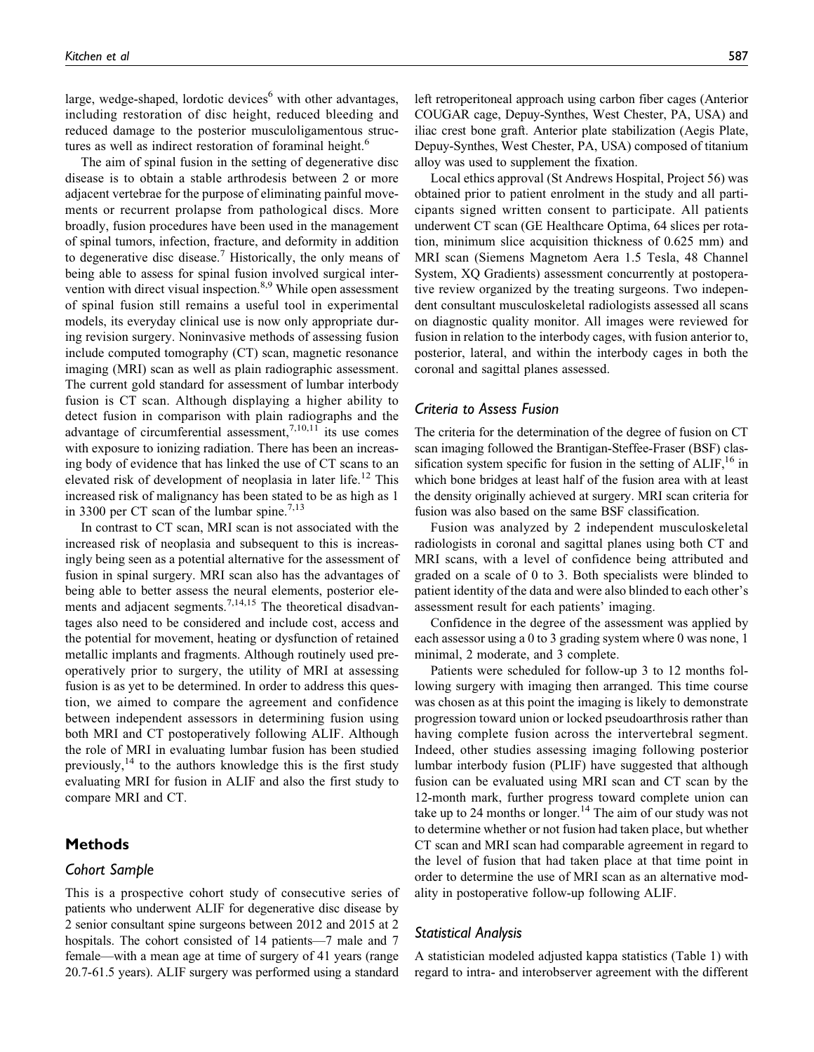large, wedge-shaped, lordotic devices $<sup>6</sup>$  with other advantages,</sup> including restoration of disc height, reduced bleeding and reduced damage to the posterior musculoligamentous structures as well as indirect restoration of foraminal height.<sup>6</sup>

The aim of spinal fusion in the setting of degenerative disc disease is to obtain a stable arthrodesis between 2 or more adjacent vertebrae for the purpose of eliminating painful movements or recurrent prolapse from pathological discs. More broadly, fusion procedures have been used in the management of spinal tumors, infection, fracture, and deformity in addition to degenerative disc disease.<sup>7</sup> Historically, the only means of being able to assess for spinal fusion involved surgical intervention with direct visual inspection.<sup>8,9</sup> While open assessment of spinal fusion still remains a useful tool in experimental models, its everyday clinical use is now only appropriate during revision surgery. Noninvasive methods of assessing fusion include computed tomography (CT) scan, magnetic resonance imaging (MRI) scan as well as plain radiographic assessment. The current gold standard for assessment of lumbar interbody fusion is CT scan. Although displaying a higher ability to detect fusion in comparison with plain radiographs and the advantage of circumferential assessment, $7,10,11$  its use comes with exposure to ionizing radiation. There has been an increasing body of evidence that has linked the use of CT scans to an elevated risk of development of neoplasia in later life.<sup>12</sup> This increased risk of malignancy has been stated to be as high as 1 in 3300 per CT scan of the lumbar spine.<sup>7,13</sup>

In contrast to CT scan, MRI scan is not associated with the increased risk of neoplasia and subsequent to this is increasingly being seen as a potential alternative for the assessment of fusion in spinal surgery. MRI scan also has the advantages of being able to better assess the neural elements, posterior elements and adjacent segments.<sup>7,14,15</sup> The theoretical disadvantages also need to be considered and include cost, access and the potential for movement, heating or dysfunction of retained metallic implants and fragments. Although routinely used preoperatively prior to surgery, the utility of MRI at assessing fusion is as yet to be determined. In order to address this question, we aimed to compare the agreement and confidence between independent assessors in determining fusion using both MRI and CT postoperatively following ALIF. Although the role of MRI in evaluating lumbar fusion has been studied previously, $14$  to the authors knowledge this is the first study evaluating MRI for fusion in ALIF and also the first study to compare MRI and CT.

## Methods

#### Cohort Sample

This is a prospective cohort study of consecutive series of patients who underwent ALIF for degenerative disc disease by 2 senior consultant spine surgeons between 2012 and 2015 at 2 hospitals. The cohort consisted of 14 patients—7 male and 7 female—with a mean age at time of surgery of 41 years (range 20.7-61.5 years). ALIF surgery was performed using a standard

left retroperitoneal approach using carbon fiber cages (Anterior COUGAR cage, Depuy-Synthes, West Chester, PA, USA) and iliac crest bone graft. Anterior plate stabilization (Aegis Plate, Depuy-Synthes, West Chester, PA, USA) composed of titanium alloy was used to supplement the fixation.

Local ethics approval (St Andrews Hospital, Project 56) was obtained prior to patient enrolment in the study and all participants signed written consent to participate. All patients underwent CT scan (GE Healthcare Optima, 64 slices per rotation, minimum slice acquisition thickness of 0.625 mm) and MRI scan (Siemens Magnetom Aera 1.5 Tesla, 48 Channel System, XQ Gradients) assessment concurrently at postoperative review organized by the treating surgeons. Two independent consultant musculoskeletal radiologists assessed all scans on diagnostic quality monitor. All images were reviewed for fusion in relation to the interbody cages, with fusion anterior to, posterior, lateral, and within the interbody cages in both the coronal and sagittal planes assessed.

## Criteria to Assess Fusion

The criteria for the determination of the degree of fusion on CT scan imaging followed the Brantigan-Steffee-Fraser (BSF) classification system specific for fusion in the setting of  $ALIF$ ,<sup>16</sup> in which bone bridges at least half of the fusion area with at least the density originally achieved at surgery. MRI scan criteria for fusion was also based on the same BSF classification.

Fusion was analyzed by 2 independent musculoskeletal radiologists in coronal and sagittal planes using both CT and MRI scans, with a level of confidence being attributed and graded on a scale of 0 to 3. Both specialists were blinded to patient identity of the data and were also blinded to each other's assessment result for each patients' imaging.

Confidence in the degree of the assessment was applied by each assessor using a 0 to 3 grading system where 0 was none, 1 minimal, 2 moderate, and 3 complete.

Patients were scheduled for follow-up 3 to 12 months following surgery with imaging then arranged. This time course was chosen as at this point the imaging is likely to demonstrate progression toward union or locked pseudoarthrosis rather than having complete fusion across the intervertebral segment. Indeed, other studies assessing imaging following posterior lumbar interbody fusion (PLIF) have suggested that although fusion can be evaluated using MRI scan and CT scan by the 12-month mark, further progress toward complete union can take up to 24 months or longer.<sup>14</sup> The aim of our study was not to determine whether or not fusion had taken place, but whether CT scan and MRI scan had comparable agreement in regard to the level of fusion that had taken place at that time point in order to determine the use of MRI scan as an alternative modality in postoperative follow-up following ALIF.

#### Statistical Analysis

A statistician modeled adjusted kappa statistics (Table 1) with regard to intra- and interobserver agreement with the different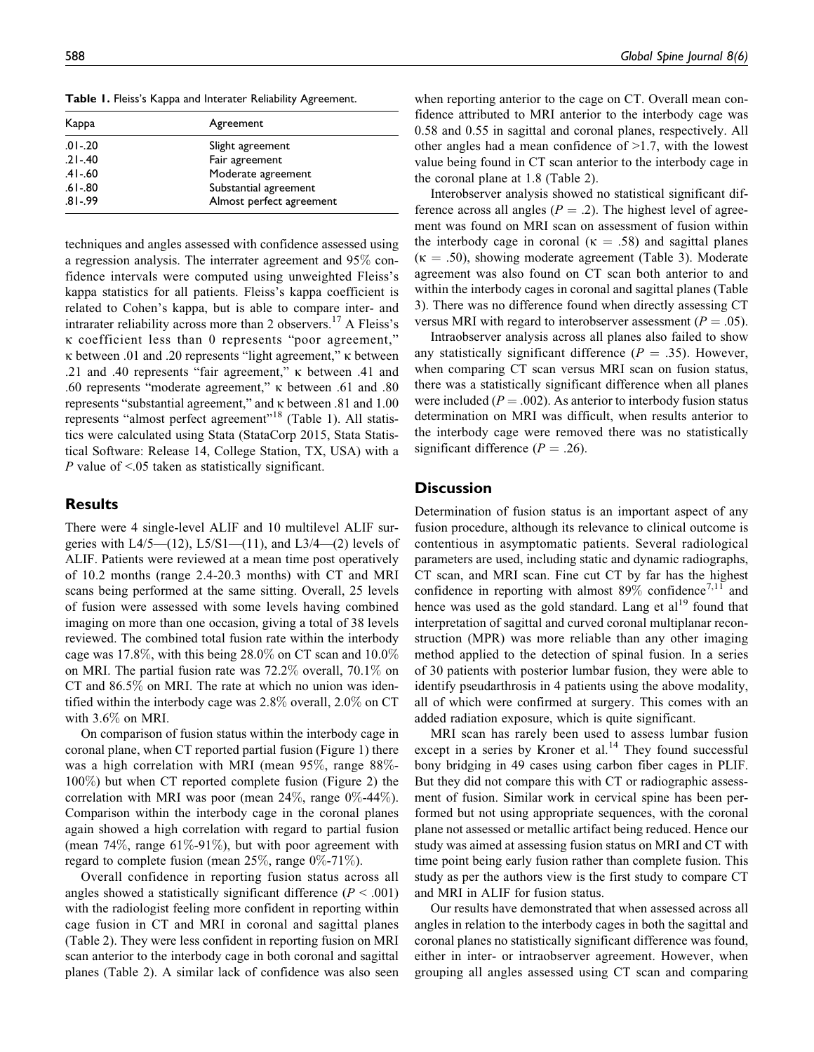Table 1. Fleiss's Kappa and Interater Reliability Agreement.

| Kappa       | Agreement                |
|-------------|--------------------------|
| $.01 - .20$ | Slight agreement         |
| $.21 - .40$ | Fair agreement           |
| $.41 - .60$ | Moderate agreement       |
| .61-.80     | Substantial agreement    |
| $.81 - .99$ | Almost perfect agreement |

techniques and angles assessed with confidence assessed using a regression analysis. The interrater agreement and 95% confidence intervals were computed using unweighted Fleiss's kappa statistics for all patients. Fleiss's kappa coefficient is related to Cohen's kappa, but is able to compare inter- and intrarater reliability across more than 2 observers.<sup>17</sup> A Fleiss's k coefficient less than 0 represents "poor agreement,"  $\kappa$  between .01 and .20 represents "light agreement,"  $\kappa$  between .21 and .40 represents "fair agreement," k between .41 and .60 represents "moderate agreement," k between .61 and .80 represents "substantial agreement," and k between .81 and 1.00 represents "almost perfect agreement"<sup>18</sup> (Table 1). All statistics were calculated using Stata (StataCorp 2015, Stata Statistical Software: Release 14, College Station, TX, USA) with a P value of <.05 taken as statistically significant.

#### **Results**

There were 4 single-level ALIF and 10 multilevel ALIF surgeries with L4/5—(12), L5/S1—(11), and L3/4—(2) levels of ALIF. Patients were reviewed at a mean time post operatively of 10.2 months (range 2.4-20.3 months) with CT and MRI scans being performed at the same sitting. Overall, 25 levels of fusion were assessed with some levels having combined imaging on more than one occasion, giving a total of 38 levels reviewed. The combined total fusion rate within the interbody cage was 17.8%, with this being  $28.0\%$  on CT scan and  $10.0\%$ on MRI. The partial fusion rate was 72.2% overall, 70.1% on CT and 86.5% on MRI. The rate at which no union was identified within the interbody cage was 2.8% overall, 2.0% on CT with 3.6% on MRI.

On comparison of fusion status within the interbody cage in coronal plane, when CT reported partial fusion (Figure 1) there was a high correlation with MRI (mean 95%, range 88%- 100%) but when CT reported complete fusion (Figure 2) the correlation with MRI was poor (mean  $24\%$ , range  $0\%$ -44%). Comparison within the interbody cage in the coronal planes again showed a high correlation with regard to partial fusion (mean 74%, range 61%-91%), but with poor agreement with regard to complete fusion (mean  $25\%$ , range  $0\%$ -71%).

Overall confidence in reporting fusion status across all angles showed a statistically significant difference ( $P < .001$ ) with the radiologist feeling more confident in reporting within cage fusion in CT and MRI in coronal and sagittal planes (Table 2). They were less confident in reporting fusion on MRI scan anterior to the interbody cage in both coronal and sagittal planes (Table 2). A similar lack of confidence was also seen

when reporting anterior to the cage on CT. Overall mean confidence attributed to MRI anterior to the interbody cage was 0.58 and 0.55 in sagittal and coronal planes, respectively. All other angles had a mean confidence of >1.7, with the lowest value being found in CT scan anterior to the interbody cage in the coronal plane at 1.8 (Table 2).

Interobserver analysis showed no statistical significant difference across all angles ( $P = .2$ ). The highest level of agreement was found on MRI scan on assessment of fusion within the interbody cage in coronal ( $\kappa = .58$ ) and sagittal planes  $(k = .50)$ , showing moderate agreement (Table 3). Moderate agreement was also found on CT scan both anterior to and within the interbody cages in coronal and sagittal planes (Table 3). There was no difference found when directly assessing CT versus MRI with regard to interobserver assessment ( $P = .05$ ).

Intraobserver analysis across all planes also failed to show any statistically significant difference ( $P = .35$ ). However, when comparing CT scan versus MRI scan on fusion status, there was a statistically significant difference when all planes were included ( $P = .002$ ). As anterior to interbody fusion status determination on MRI was difficult, when results anterior to the interbody cage were removed there was no statistically significant difference  $(P = .26)$ .

## **Discussion**

Determination of fusion status is an important aspect of any fusion procedure, although its relevance to clinical outcome is contentious in asymptomatic patients. Several radiological parameters are used, including static and dynamic radiographs, CT scan, and MRI scan. Fine cut CT by far has the highest confidence in reporting with almost  $89\%$  confidence<sup>7,11</sup> and hence was used as the gold standard. Lang et  $al<sup>19</sup>$  found that interpretation of sagittal and curved coronal multiplanar reconstruction (MPR) was more reliable than any other imaging method applied to the detection of spinal fusion. In a series of 30 patients with posterior lumbar fusion, they were able to identify pseudarthrosis in 4 patients using the above modality, all of which were confirmed at surgery. This comes with an added radiation exposure, which is quite significant.

MRI scan has rarely been used to assess lumbar fusion except in a series by Kroner et al.<sup>14</sup> They found successful bony bridging in 49 cases using carbon fiber cages in PLIF. But they did not compare this with CT or radiographic assessment of fusion. Similar work in cervical spine has been performed but not using appropriate sequences, with the coronal plane not assessed or metallic artifact being reduced. Hence our study was aimed at assessing fusion status on MRI and CT with time point being early fusion rather than complete fusion. This study as per the authors view is the first study to compare CT and MRI in ALIF for fusion status.

Our results have demonstrated that when assessed across all angles in relation to the interbody cages in both the sagittal and coronal planes no statistically significant difference was found, either in inter- or intraobserver agreement. However, when grouping all angles assessed using CT scan and comparing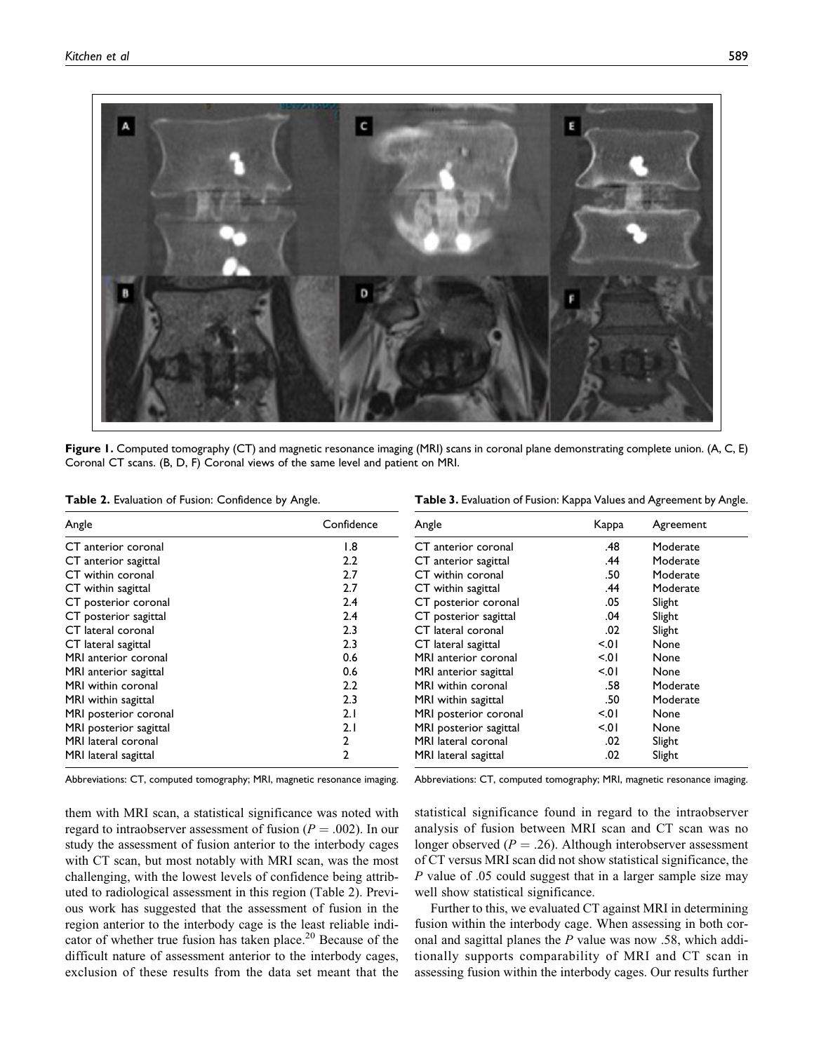

Figure 1. Computed tomography (CT) and magnetic resonance imaging (MRI) scans in coronal plane demonstrating complete union. (A, C, E) Coronal CT scans. (B, D, F) Coronal views of the same level and patient on MRI.

| Table 2. Evaluation of Fusion: Confidence by Angle. |  |  |  |  |  |
|-----------------------------------------------------|--|--|--|--|--|
|-----------------------------------------------------|--|--|--|--|--|

Table 3. Evaluation of Fusion: Kappa Values and Agreement by Angle.

| Angle                  | Confidence       | Angle<br>Kappa         |      | Agreement |
|------------------------|------------------|------------------------|------|-----------|
| CT anterior coronal    | 1.8              | CT anterior coronal    | .48  | Moderate  |
| CT anterior sagittal   | $2.2\phantom{0}$ | CT anterior sagittal   | .44  | Moderate  |
| CT within coronal      | 2.7              | CT within coronal      | .50  | Moderate  |
| CT within sagittal     | 2.7              | CT within sagittal     | .44  | Moderate  |
| CT posterior coronal   | 2.4              | CT posterior coronal   | .05  | Slight    |
| CT posterior sagittal  | 2.4              | CT posterior sagittal  | .04  | Slight    |
| CT lateral coronal     | 2.3              | CT lateral coronal     | .02  | Slight    |
| CT lateral sagittal    | 2.3              | CT lateral sagittal    | 5.01 | None      |
| MRI anterior coronal   | 0.6              | MRI anterior coronal   | 5.01 | None      |
| MRI anterior sagittal  | 0.6              | MRI anterior sagittal  | 5.01 | None      |
| MRI within coronal     | $2.2\phantom{0}$ | MRI within coronal     | .58  | Moderate  |
| MRI within sagittal    | 2.3              | MRI within sagittal    | .50  | Moderate  |
| MRI posterior coronal  | 2.1              | MRI posterior coronal  | 5.01 | None      |
| MRI posterior sagittal | 2.1              | MRI posterior sagittal | 5.01 | None      |
| MRI lateral coronal    |                  | MRI lateral coronal    | .02  | Slight    |
| MRI lateral sagittal   |                  | MRI lateral sagittal   | .02  | Slight    |

Abbreviations: CT, computed tomography; MRI, magnetic resonance imaging.

Abbreviations: CT, computed tomography; MRI, magnetic resonance imaging.

them with MRI scan, a statistical significance was noted with regard to intraobserver assessment of fusion ( $P = .002$ ). In our study the assessment of fusion anterior to the interbody cages with CT scan, but most notably with MRI scan, was the most challenging, with the lowest levels of confidence being attributed to radiological assessment in this region (Table 2). Previous work has suggested that the assessment of fusion in the region anterior to the interbody cage is the least reliable indicator of whether true fusion has taken place.20 Because of the difficult nature of assessment anterior to the interbody cages, exclusion of these results from the data set meant that the

statistical significance found in regard to the intraobserver analysis of fusion between MRI scan and CT scan was no longer observed ( $P = .26$ ). Although interobserver assessment of CT versus MRI scan did not show statistical significance, the P value of .05 could suggest that in a larger sample size may well show statistical significance.

Further to this, we evaluated CT against MRI in determining fusion within the interbody cage. When assessing in both coronal and sagittal planes the P value was now .58, which additionally supports comparability of MRI and CT scan in assessing fusion within the interbody cages. Our results further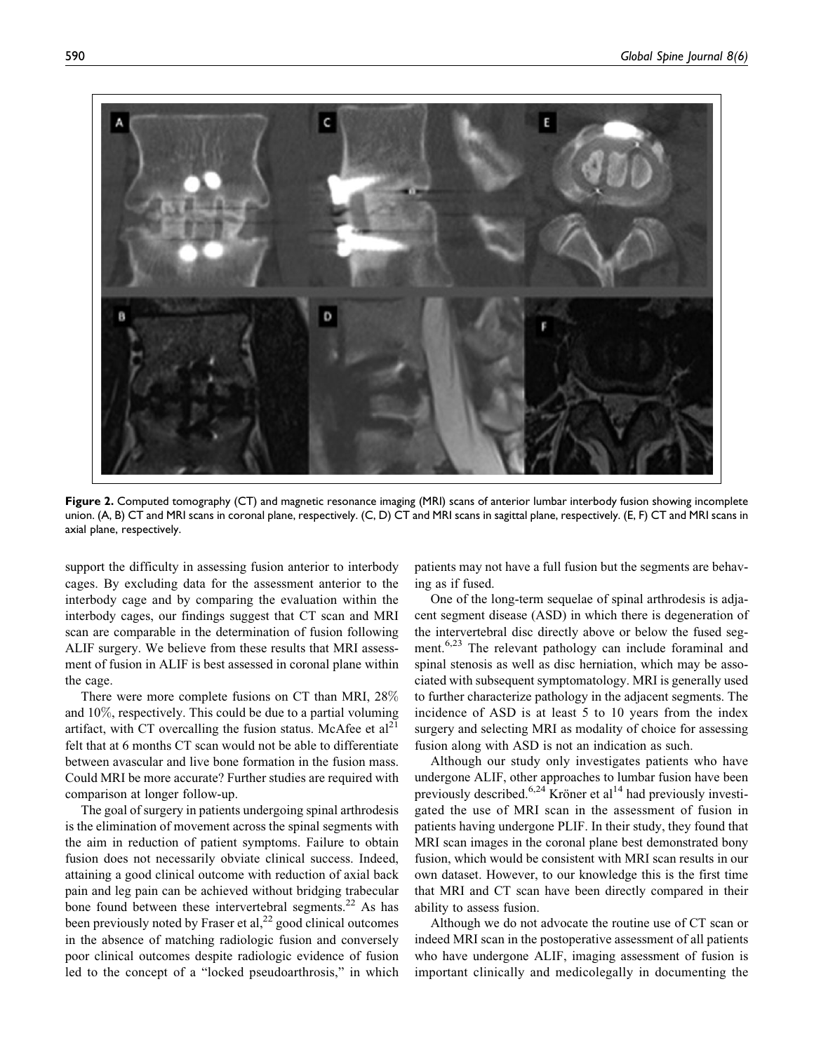

Figure 2. Computed tomography (CT) and magnetic resonance imaging (MRI) scans of anterior lumbar interbody fusion showing incomplete union. (A, B) CT and MRI scans in coronal plane, respectively. (C, D) CT and MRI scans in sagittal plane, respectively. (E, F) CT and MRI scans in axial plane, respectively.

support the difficulty in assessing fusion anterior to interbody cages. By excluding data for the assessment anterior to the interbody cage and by comparing the evaluation within the interbody cages, our findings suggest that CT scan and MRI scan are comparable in the determination of fusion following ALIF surgery. We believe from these results that MRI assessment of fusion in ALIF is best assessed in coronal plane within the cage.

There were more complete fusions on CT than MRI, 28% and 10%, respectively. This could be due to a partial voluming artifact, with CT overcalling the fusion status. McAfee et  $al<sup>21</sup>$ felt that at 6 months CT scan would not be able to differentiate between avascular and live bone formation in the fusion mass. Could MRI be more accurate? Further studies are required with comparison at longer follow-up.

The goal of surgery in patients undergoing spinal arthrodesis is the elimination of movement across the spinal segments with the aim in reduction of patient symptoms. Failure to obtain fusion does not necessarily obviate clinical success. Indeed, attaining a good clinical outcome with reduction of axial back pain and leg pain can be achieved without bridging trabecular bone found between these intervertebral segments.<sup>22</sup> As has been previously noted by Fraser et al,  $^{22}$  good clinical outcomes in the absence of matching radiologic fusion and conversely poor clinical outcomes despite radiologic evidence of fusion led to the concept of a "locked pseudoarthrosis," in which patients may not have a full fusion but the segments are behaving as if fused.

One of the long-term sequelae of spinal arthrodesis is adjacent segment disease (ASD) in which there is degeneration of the intervertebral disc directly above or below the fused segment.<sup>6,23</sup> The relevant pathology can include foraminal and spinal stenosis as well as disc herniation, which may be associated with subsequent symptomatology. MRI is generally used to further characterize pathology in the adjacent segments. The incidence of ASD is at least 5 to 10 years from the index surgery and selecting MRI as modality of choice for assessing fusion along with ASD is not an indication as such.

Although our study only investigates patients who have undergone ALIF, other approaches to lumbar fusion have been previously described.<sup>6,24</sup> Kröner et al<sup>14</sup> had previously investigated the use of MRI scan in the assessment of fusion in patients having undergone PLIF. In their study, they found that MRI scan images in the coronal plane best demonstrated bony fusion, which would be consistent with MRI scan results in our own dataset. However, to our knowledge this is the first time that MRI and CT scan have been directly compared in their ability to assess fusion.

Although we do not advocate the routine use of CT scan or indeed MRI scan in the postoperative assessment of all patients who have undergone ALIF, imaging assessment of fusion is important clinically and medicolegally in documenting the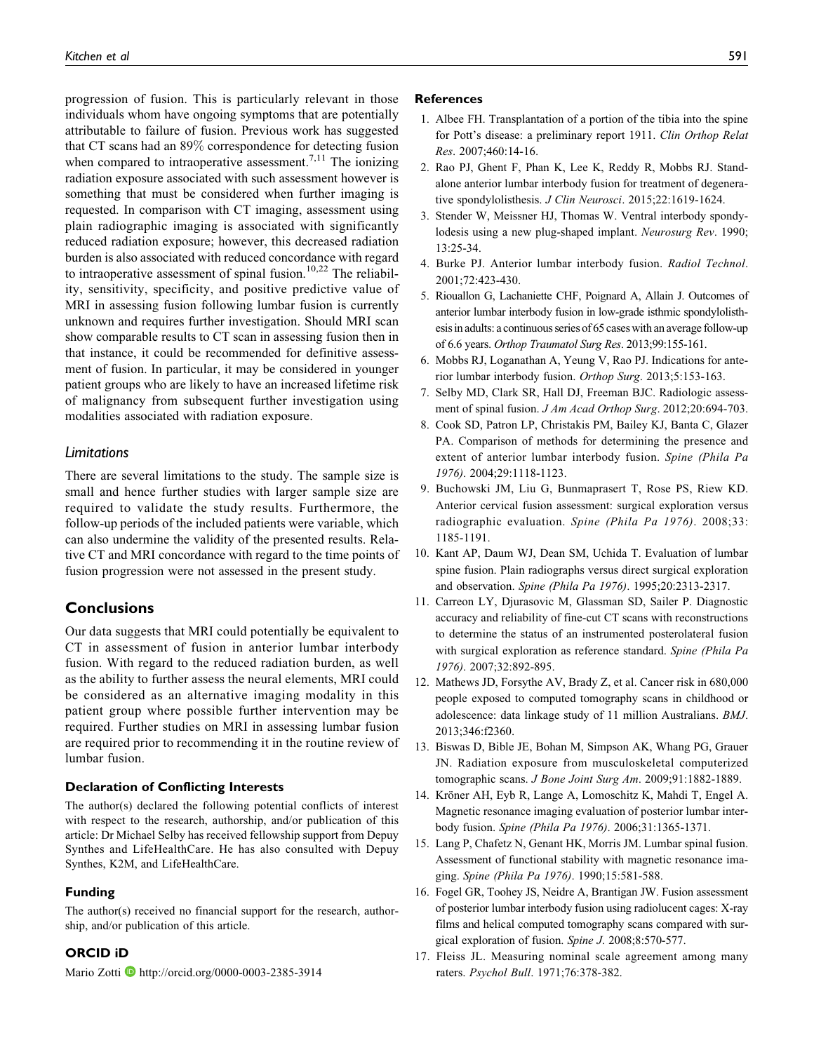progression of fusion. This is particularly relevant in those individuals whom have ongoing symptoms that are potentially attributable to failure of fusion. Previous work has suggested that CT scans had an 89% correspondence for detecting fusion when compared to intraoperative assessment.<sup>7,11</sup> The ionizing radiation exposure associated with such assessment however is something that must be considered when further imaging is requested. In comparison with CT imaging, assessment using plain radiographic imaging is associated with significantly reduced radiation exposure; however, this decreased radiation burden is also associated with reduced concordance with regard to intraoperative assessment of spinal fusion.<sup>10,22</sup> The reliability, sensitivity, specificity, and positive predictive value of MRI in assessing fusion following lumbar fusion is currently unknown and requires further investigation. Should MRI scan show comparable results to CT scan in assessing fusion then in that instance, it could be recommended for definitive assessment of fusion. In particular, it may be considered in younger patient groups who are likely to have an increased lifetime risk of malignancy from subsequent further investigation using modalities associated with radiation exposure.

#### Limitations

There are several limitations to the study. The sample size is small and hence further studies with larger sample size are required to validate the study results. Furthermore, the follow-up periods of the included patients were variable, which can also undermine the validity of the presented results. Relative CT and MRI concordance with regard to the time points of fusion progression were not assessed in the present study.

#### **Conclusions**

Our data suggests that MRI could potentially be equivalent to CT in assessment of fusion in anterior lumbar interbody fusion. With regard to the reduced radiation burden, as well as the ability to further assess the neural elements, MRI could be considered as an alternative imaging modality in this patient group where possible further intervention may be required. Further studies on MRI in assessing lumbar fusion are required prior to recommending it in the routine review of lumbar fusion.

#### Declaration of Conflicting Interests

The author(s) declared the following potential conflicts of interest with respect to the research, authorship, and/or publication of this article: Dr Michael Selby has received fellowship support from Depuy Synthes and LifeHealthCare. He has also consulted with Depuy Synthes, K2M, and LifeHealthCare.

#### Funding

The author(s) received no financial support for the research, authorship, and/or publication of this article.

#### ORCID iD

Mario Zotti **<http://orcid.org/0000-0003-2385-3914>** 

#### References

- 1. Albee FH. Transplantation of a portion of the tibia into the spine for Pott's disease: a preliminary report 1911. Clin Orthop Relat Res. 2007;460:14-16.
- 2. Rao PJ, Ghent F, Phan K, Lee K, Reddy R, Mobbs RJ. Standalone anterior lumbar interbody fusion for treatment of degenerative spondylolisthesis. J Clin Neurosci. 2015;22:1619-1624.
- 3. Stender W, Meissner HJ, Thomas W. Ventral interbody spondylodesis using a new plug-shaped implant. Neurosurg Rev. 1990; 13:25-34.
- 4. Burke PJ. Anterior lumbar interbody fusion. Radiol Technol. 2001;72:423-430.
- 5. Riouallon G, Lachaniette CHF, Poignard A, Allain J. Outcomes of anterior lumbar interbody fusion in low-grade isthmic spondylolisthesisin adults: a continuous series of 65 cases with an average follow-up of 6.6 years. Orthop Traumatol Surg Res. 2013;99:155-161.
- 6. Mobbs RJ, Loganathan A, Yeung V, Rao PJ. Indications for anterior lumbar interbody fusion. Orthop Surg. 2013;5:153-163.
- 7. Selby MD, Clark SR, Hall DJ, Freeman BJC. Radiologic assessment of spinal fusion. J Am Acad Orthop Surg. 2012;20:694-703.
- 8. Cook SD, Patron LP, Christakis PM, Bailey KJ, Banta C, Glazer PA. Comparison of methods for determining the presence and extent of anterior lumbar interbody fusion. Spine (Phila Pa 1976). 2004;29:1118-1123.
- 9. Buchowski JM, Liu G, Bunmaprasert T, Rose PS, Riew KD. Anterior cervical fusion assessment: surgical exploration versus radiographic evaluation. Spine (Phila Pa 1976). 2008;33: 1185-1191.
- 10. Kant AP, Daum WJ, Dean SM, Uchida T. Evaluation of lumbar spine fusion. Plain radiographs versus direct surgical exploration and observation. Spine (Phila Pa 1976). 1995;20:2313-2317.
- 11. Carreon LY, Djurasovic M, Glassman SD, Sailer P. Diagnostic accuracy and reliability of fine-cut CT scans with reconstructions to determine the status of an instrumented posterolateral fusion with surgical exploration as reference standard. Spine (Phila Pa 1976). 2007;32:892-895.
- 12. Mathews JD, Forsythe AV, Brady Z, et al. Cancer risk in 680,000 people exposed to computed tomography scans in childhood or adolescence: data linkage study of 11 million Australians. BMJ. 2013;346:f2360.
- 13. Biswas D, Bible JE, Bohan M, Simpson AK, Whang PG, Grauer JN. Radiation exposure from musculoskeletal computerized tomographic scans. J Bone Joint Surg Am. 2009;91:1882-1889.
- 14. Kröner AH, Eyb R, Lange A, Lomoschitz K, Mahdi T, Engel A. Magnetic resonance imaging evaluation of posterior lumbar interbody fusion. Spine (Phila Pa 1976). 2006;31:1365-1371.
- 15. Lang P, Chafetz N, Genant HK, Morris JM. Lumbar spinal fusion. Assessment of functional stability with magnetic resonance imaging. Spine (Phila Pa 1976). 1990;15:581-588.
- 16. Fogel GR, Toohey JS, Neidre A, Brantigan JW. Fusion assessment of posterior lumbar interbody fusion using radiolucent cages: X-ray films and helical computed tomography scans compared with surgical exploration of fusion. Spine J. 2008;8:570-577.
- 17. Fleiss JL. Measuring nominal scale agreement among many raters. Psychol Bull. 1971;76:378-382.